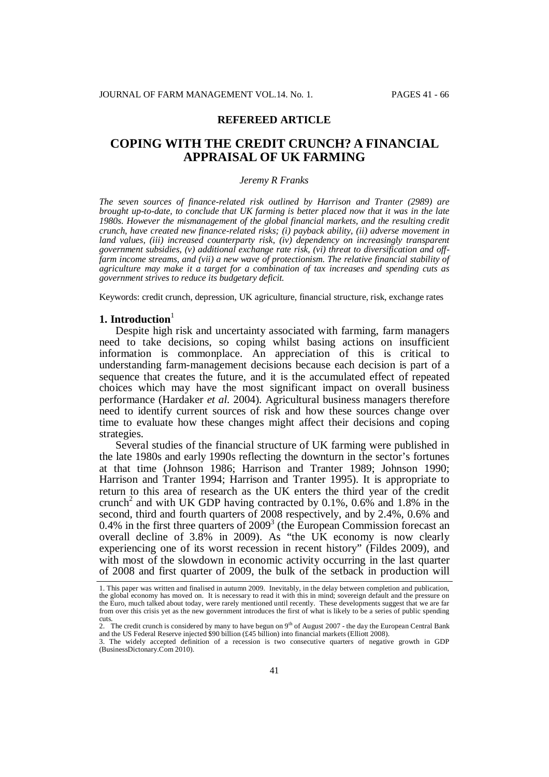# **REFEREED ARTICLE**

# **COPING WITH THE CREDIT CRUNCH? A FINANCIAL APPRAISAL OF UK FARMING**

#### *Jeremy R Franks*

*The seven sources of finance-related risk outlined by Harrison and Tranter (2989) are brought up-to-date, to conclude that UK farming is better placed now that it was in the late 1980s. However the mismanagement of the global financial markets, and the resulting credit crunch, have created new finance-related risks; (i) payback ability, (ii) adverse movement in land values, (iii) increased counterparty risk, (iv) dependency on increasingly transparent government subsidies, (v) additional exchange rate risk, (vi) threat to diversification and offfarm income streams, and (vii) a new wave of protectionism. The relative financial stability of agriculture may make it a target for a combination of tax increases and spending cuts as government strives to reduce its budgetary deficit.*

Keywords: credit crunch, depression, UK agriculture, financial structure, risk, exchange rates

# **1. Introduction**<sup>1</sup>

Despite high risk and uncertainty associated with farming, farm managers need to take decisions, so coping whilst basing actions on insufficient information is commonplace. An appreciation of this is critical to understanding farm-management decisions because each decision is part of a sequence that creates the future, and it is the accumulated effect of repeated choices which may have the most significant impact on overall business performance (Hardaker *et al.* 2004). Agricultural business managers therefore need to identify current sources of risk and how these sources change over time to evaluate how these changes might affect their decisions and coping strategies.

Several studies of the financial structure of UK farming were published in the late 1980s and early 1990s reflecting the downturn in the sector's fortunes at that time (Johnson 1986; Harrison and Tranter 1989; Johnson 1990; Harrison and Tranter 1994; Harrison and Tranter 1995). It is appropriate to return to this area of research as the UK enters the third year of the credit crunch<sup>2</sup> and with UK GDP having contracted by  $0.1\%$ ,  $0.6\%$  and  $1.8\%$  in the second, third and fourth quarters of 2008 respectively, and by 2.4%, 0.6% and 0.4% in the first three quarters of  $2009<sup>3</sup>$  (the European Commission forecast an overall decline of 3.8% in 2009). As "the UK economy is now clearly experiencing one of its worst recession in recent history" (Fildes 2009), and with most of the slowdown in economic activity occurring in the last quarter of 2008 and first quarter of 2009, the bulk of the setback in production will

<sup>1.</sup> This paper was written and finalised in autumn 2009. Inevitably, in the delay between completion and publication, the global economy has moved on. It is necessary to read it with this in mind; sovereign default and the pressure on the Euro, much talked about today, were rarely mentioned until recently. These developments suggest that we are far from over this crisis yet as the new government introduces the first of what is likely to be a series of public spending cuts.

<sup>&</sup>lt;sup>2</sup>. The credit crunch is considered by many to have begun on 9<sup>th</sup> of August 2007 - the day the European Central Bank and the US Federal Reserve injected \$90 billion (£45 billion) into financial markets (Elliott 2008).

<sup>3.</sup> The widely accepted definition of a recession is two consecutive quarters of negative growth in GDP (BusinessDictonary.Com 2010).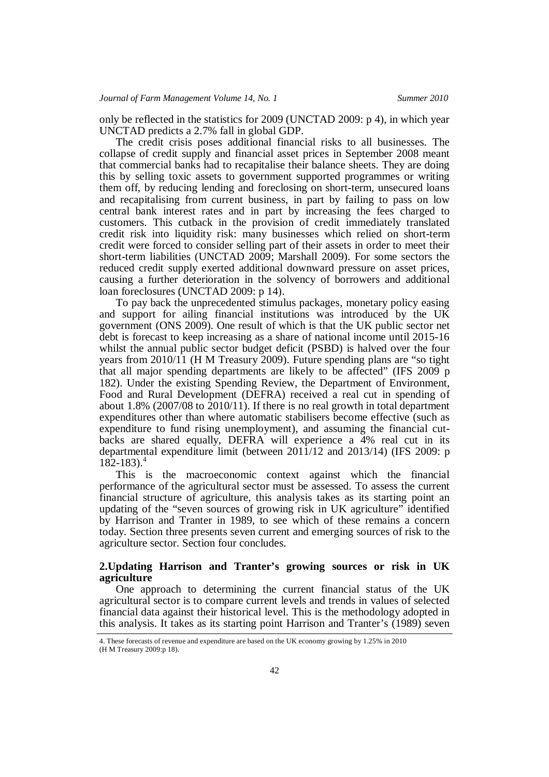only be reflected in the statistics for 2009 (UNCTAD 2009: p 4), in which year UNCTAD predicts a 2.7% fall in global GDP.

The credit crisis poses additional financial risks to all businesses. The collapse of credit supply and financial asset prices in September 2008 meant that commercial banks had to recapitalise their balance sheets. They are doing this by selling toxic assets to government supported programmes or writing them off, by reducing lending and foreclosing on short-term, unsecured loans and recapitalising from current business, in part by failing to pass on low central bank interest rates and in part by increasing the fees charged to customers. This cutback in the provision of credit immediately translated credit risk into liquidity risk: many businesses which relied on short-term credit were forced to consider selling part of their assets in order to meet their short-term liabilities (UNCTAD 2009; Marshall 2009). For some sectors the reduced credit supply exerted additional downward pressure on asset prices, causing a further deterioration in the solvency of borrowers and additional loan foreclosures (UNCTAD 2009: p 14).

To pay back the unprecedented stimulus packages, monetary policy easing and support for ailing financial institutions was introduced by the UK government (ONS 2009). One result of which is that the UK public sector net debt is forecast to keep increasing as a share of national income until 2015-16 whilst the annual public sector budget deficit (PSBD) is halved over the four years from 2010/11 (H M Treasury 2009). Future spending plans are "so tight that all major spending departments are likely to be affected" (IFS 2009 p 182). Under the existing Spending Review, the Department of Environment, Food and Rural Development (DEFRA) received a real cut in spending of about 1.8% (2007/08 to 2010/11). If there is no real growth in total department expenditures other than where automatic stabilisers become effective (such as expenditure to fund rising unemployment), and assuming the financial cutbacks are shared equally, DEFRA will experience a 4% real cut in its departmental expenditure limit (between 2011/12 and 2013/14) (IFS 2009: p  $182 - 183$ .

This is the macroeconomic context against which the financial performance of the agricultural sector must be assessed. To assess the current financial structure of agriculture, this analysis takes as its starting point an updating of the "seven sources of growing risk in UK agriculture" identified by Harrison and Tranter in 1989, to see which of these remains a concern today. Section three presents seven current and emerging sources of risk to the agriculture sector. Section four concludes.

# **2.Updating Harrison and Tranter's growing sources or risk in UK agriculture**

One approach to determining the current financial status of the UK agricultural sector is to compare current levels and trends in values of selected financial data against their historical level. This is the methodology adopted in this analysis. It takes as its starting point Harrison and Tranter's (1989) seven

<sup>4.</sup> These forecasts of revenue and expenditure are based on the UK economy growing by 1.25% in 2010 (H M Treasury 2009:p 18).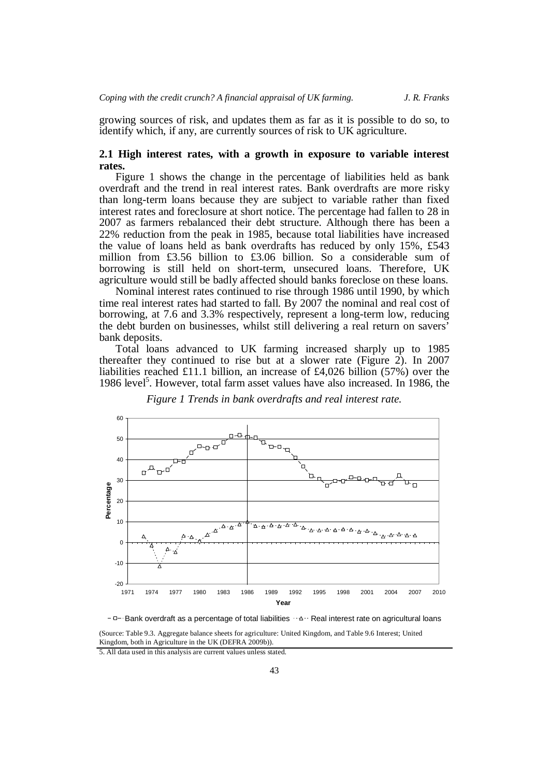growing sources of risk, and updates them as far as it is possible to do so, to identify which, if any, are currently sources of risk to UK agriculture.

# **2.1 High interest rates, with a growth in exposure to variable interest rates.**

Figure 1 shows the change in the percentage of liabilities held as bank overdraft and the trend in real interest rates. Bank overdrafts are more risky than long-term loans because they are subject to variable rather than fixed interest rates and foreclosure at short notice. The percentage had fallen to 28 in 2007 as farmers rebalanced their debt structure. Although there has been a 22% reduction from the peak in 1985, because total liabilities have increased the value of loans held as bank overdrafts has reduced by only 15%, £543 million from £3.56 billion to £3.06 billion. So a considerable sum of borrowing is still held on short-term, unsecured loans. Therefore, UK agriculture would still be badly affected should banks foreclose on these loans.

Nominal interest rates continued to rise through 1986 until 1990, by which time real interest rates had started to fall. By 2007 the nominal and real cost of borrowing, at 7.6 and 3.3% respectively, represent a long-term low, reducing the debt burden on businesses, whilst still delivering a real return on savers' bank deposits.

Total loans advanced to UK farming increased sharply up to 1985 thereafter they continued to rise but at a slower rate (Figure 2). In 2007 liabilities reached £11.1 billion, an increase of £4,026 billion (57%) over the 1986 level 5 . However, total farm asset values have also increased. In 1986, the



*Figure 1 Trends in bank overdrafts and real interest rate.*

 $-B$ ank overdraft as a percentage of total liabilities  $\cdots$ <sup>2</sup> $\cdots$  Real interest rate on agricultural loans

(Source: Table 9.3. Aggregate balance sheets for agriculture: United Kingdom, and Table 9.6 Interest; United Kingdom, both in Agriculture in the UK (DEFRA 2009b)).

<sup>5.</sup> All data used in this analysis are current values unless stated.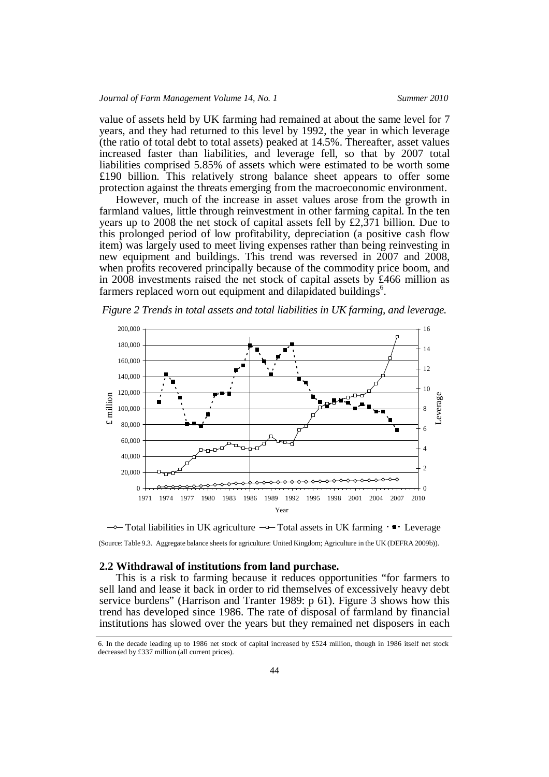value of assets held by UK farming had remained at about the same level for 7 years, and they had returned to this level by 1992, the year in which leverage (the ratio of total debt to total assets) peaked at 14.5%. Thereafter, asset values increased faster than liabilities, and leverage fell, so that by 2007 total liabilities comprised 5.85% of assets which were estimated to be worth some £190 billion. This relatively strong balance sheet appears to offer some protection against the threats emerging from the macroeconomic environment.

However, much of the increase in asset values arose from the growth in farmland values, little through reinvestment in other farming capital. In the ten years up to 2008 the net stock of capital assets fell by £2,371 billion. Due to this prolonged period of low profitability, depreciation (a positive cash flow item) was largely used to meet living expenses rather than being reinvesting in new equipment and buildings. This trend was reversed in 2007 and 2008, when profits recovered principally because of the commodity price boom, and in 2008 investments raised the net stock of capital assets by £466 million as farmers replaced worn out equipment and dilapidated buildings<sup>6</sup>.

*Figure 2 Trends in total assets and total liabilities in UK farming, and leverage.*



 $\rightarrow$ Total liabilities in UK agriculture  $\neg$ Total assets in UK farming  $\cdot$  Leverage (Source: Table 9.3. Aggregate balance sheets for agriculture: United Kingdom; Agriculture in the UK (DEFRA 2009b)).

#### **2.2 Withdrawal of institutions from land purchase.**

This is a risk to farming because it reduces opportunities "for farmers to sell land and lease it back in order to rid themselves of excessively heavy debt service burdens" (Harrison and Tranter 1989: p 61). Figure 3 shows how this trend has developed since 1986. The rate of disposal of farmland by financial institutions has slowed over the years but they remained net disposers in each

<sup>6.</sup> In the decade leading up to 1986 net stock of capital increased by £524 million, though in 1986 itself net stock decreased by £337 million (all current prices).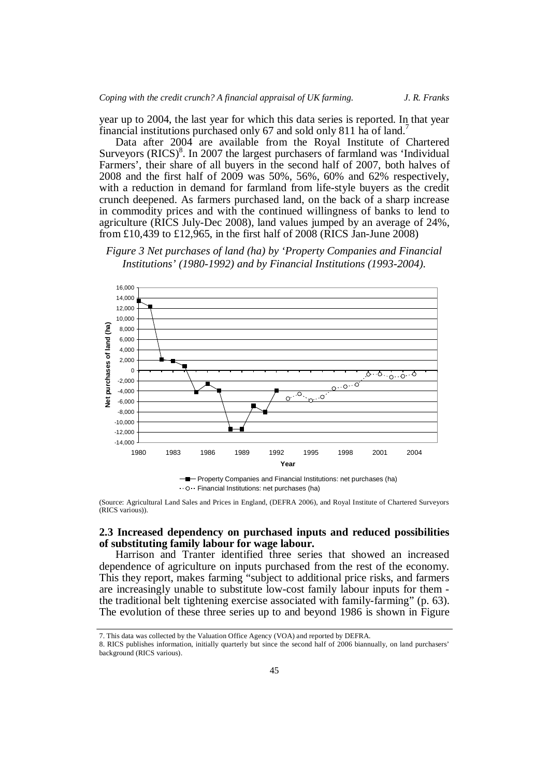year up to 2004, the last year for which this data series is reported. In that year financial institutions purchased only 67 and sold only 811 ha of land.<sup>7</sup>

Data after 2004 are available from the Royal Institute of Chartered Surveyors (RICS)<sup>8</sup>. In 2007 the largest purchasers of farmland was 'Individual Farmers', their share of all buyers in the second half of 2007, both halves of 2008 and the first half of 2009 was 50%, 56%, 60% and 62% respectively, with a reduction in demand for farmland from life-style buyers as the credit crunch deepened. As farmers purchased land, on the back of a sharp increase in commodity prices and with the continued willingness of banks to lend to agriculture (RICS July-Dec 2008), land values jumped by an average of 24%, from £10,439 to £12,965, in the first half of 2008 (RICS Jan-June 2008)

*Figure 3 Net purchases of land (ha) by 'Property Companies and Financial Institutions' (1980-1992) and by Financial Institutions (1993-2004).*



Financial Institutions: net purchases (ha)

(Source: Agricultural Land Sales and Prices in England, (DEFRA 2006), and Royal Institute of Chartered Surveyors (RICS various)).

# **2.3 Increased dependency on purchased inputs and reduced possibilities of substituting family labour for wage labour.**

Harrison and Tranter identified three series that showed an increased dependence of agriculture on inputs purchased from the rest of the economy. This they report, makes farming "subject to additional price risks, and farmers are increasingly unable to substitute low-cost family labour inputs for them the traditional belt tightening exercise associated with family-farming" (p. 63). The evolution of these three series up to and beyond 1986 is shown in Figure

<sup>7.</sup> This data was collected by the Valuation Office Agency (VOA) and reported by DEFRA.

<sup>8.</sup> RICS publishes information, initially quarterly but since the second half of 2006 biannually, on land purchasers' background (RICS various).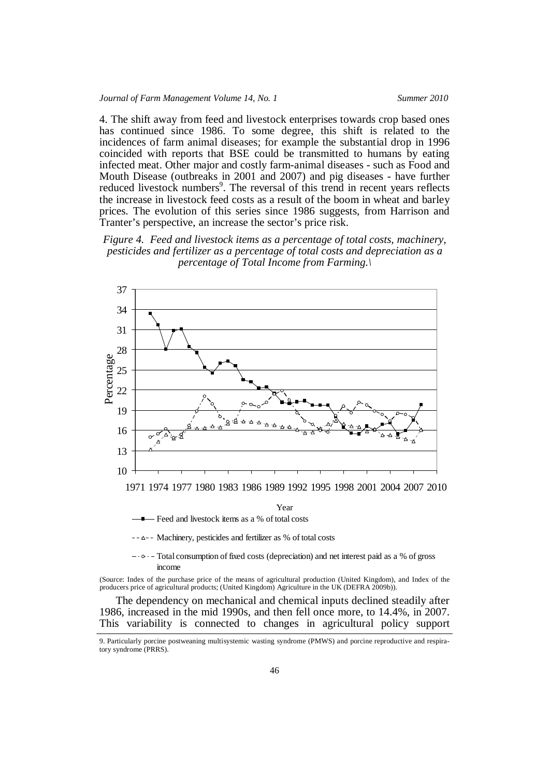4. The shift away from feed and livestock enterprises towards crop based ones has continued since 1986. To some degree, this shift is related to the incidences of farm animal diseases; for example the substantial drop in 1996 coincided with reports that BSE could be transmitted to humans by eating infected meat. Other major and costly farm-animal diseases - such as Food and Mouth Disease (outbreaks in 2001 and 2007) and pig diseases - have further reduced livestock numbers<sup>9</sup>. The reversal of this trend in recent years reflects the increase in livestock feed costs as a result of the boom in wheat and barley prices. The evolution of this series since 1986 suggests, from Harrison and Tranter's perspective, an increase the sector's price risk.

*Figure 4. Feed and livestock items as a percentage of total costs, machinery, pesticides and fertilizer as a percentage of total costs and depreciation as a percentage of Total Income from Farming.\*



Feed and livestock items as a % of total costs

 $\Delta$ -- Machinery, pesticides and fertilizer as % of total costs

 $-\cdot$   $\circ$   $-\cdot$  Total consumption of fixed costs (depreciation) and net interest paid as a % of gross income

(Source: Index of the purchase price of the means of agricultural production (United Kingdom), and Index of the producers price of agricultural products; (United Kingdom) Agriculture in the UK (DEFRA 2009b)).

The dependency on mechanical and chemical inputs declined steadily after 1986, increased in the mid 1990s, and then fell once more, to 14.4%, in 2007. This variability is connected to changes in agricultural policy support

<sup>9.</sup> Particularly porcine postweaning multisystemic wasting syndrome (PMWS) and porcine reproductive and respiratory syndrome (PRRS).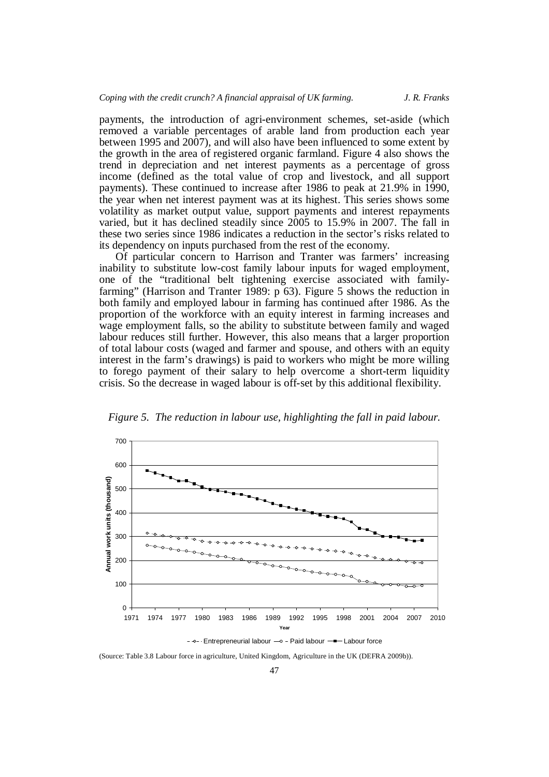payments, the introduction of agri-environment schemes, set-aside (which removed a variable percentages of arable land from production each year between 1995 and 2007), and will also have been influenced to some extent by the growth in the area of registered organic farmland. Figure 4 also shows the trend in depreciation and net interest payments as a percentage of gross income (defined as the total value of crop and livestock, and all support payments). These continued to increase after 1986 to peak at 21.9% in 1990, the year when net interest payment was at its highest. This series shows some volatility as market output value, support payments and interest repayments varied, but it has declined steadily since 2005 to 15.9% in 2007. The fall in these two series since 1986 indicates a reduction in the sector's risks related to its dependency on inputs purchased from the rest of the economy.

Of particular concern to Harrison and Tranter was farmers' increasing inability to substitute low-cost family labour inputs for waged employment, one of the "traditional belt tightening exercise associated with familyfarming" (Harrison and Tranter 1989: p 63). Figure 5 shows the reduction in both family and employed labour in farming has continued after 1986. As the proportion of the workforce with an equity interest in farming increases and wage employment falls, so the ability to substitute between family and waged labour reduces still further. However, this also means that a larger proportion of total labour costs (waged and farmer and spouse, and others with an equity interest in the farm's drawings) is paid to workers who might be more willing to forego payment of their salary to help overcome a short-term liquidity crisis. So the decrease in waged labour is off-set by this additional flexibility.



*Figure 5. The reduction in labour use, highlighting the fall in paid labour.*

(Source: Table 3.8 Labour force in agriculture, United Kingdom, Agriculture in the UK (DEFRA 2009b)).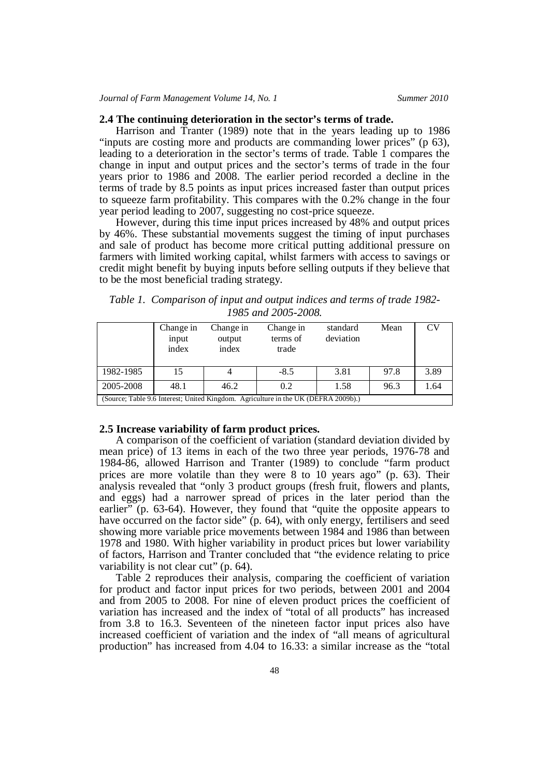**2.4 The continuing deterioration in the sector's terms of trade.** Harrison and Tranter (1989) note that in the years leading up to <sup>1986</sup> "inputs are costing more and products are commanding lower prices" (p 63), leading to a deterioration in the sector's terms of trade. Table 1 compares the change in input and output prices and the sector's terms of trade in the four years prior to 1986 and 2008. The earlier period recorded a decline in the terms of trade by 8.5 points as input prices increased faster than output prices to squeeze farm profitability. This compares with the 0.2% change in the four year period leading to 2007, suggesting no cost-price squeeze.

However, during this time input prices increased by 48% and output prices by 46%. These substantial movements suggest the timing of input purchases and sale of product has become more critical putting additional pressure on farmers with limited working capital, whilst farmers with access to savings or credit might benefit by buying inputs before selling outputs if they believe that to be the most beneficial trading strategy.

*Table 1. Comparison of input and output indices and terms of trade 1982- 1985 and 2005-2008.*

|                                                                                    | Change in<br>input<br>index | Change in<br>output<br>index | Change in<br>terms of<br>trade | standard<br>deviation | Mean | CV   |  |  |  |
|------------------------------------------------------------------------------------|-----------------------------|------------------------------|--------------------------------|-----------------------|------|------|--|--|--|
| 1982-1985                                                                          | 15                          |                              | $-8.5$                         | 3.81                  | 97.8 | 3.89 |  |  |  |
| 2005-2008                                                                          | 48.1                        | 46.2                         | 0.2                            | 1.58                  | 96.3 | 1.64 |  |  |  |
| (Source; Table 9.6 Interest; United Kingdom. Agriculture in the UK (DEFRA 2009b).) |                             |                              |                                |                       |      |      |  |  |  |

## **2.5 Increase variability of farm product prices.**

A comparison of the coefficient of variation (standard deviation divided by mean price) of 13 items in each of the two three year periods, 1976-78 and 1984-86, allowed Harrison and Tranter (1989) to conclude "farm product prices are more volatile than they were 8 to 10 years ago" (p. 63). Their analysis revealed that "only 3 product groups (fresh fruit, flowers and plants, and eggs) had a narrower spread of prices in the later period than the earlier" (p. 63-64). However, they found that "quite the opposite appears to have occurred on the factor side" (p. 64), with only energy, fertilisers and seed showing more variable price movements between 1984 and 1986 than between 1978 and 1980. With higher variability in product prices but lower variability of factors, Harrison and Tranter concluded that "the evidence relating to price variability is not clear cut" (p. 64).

Table 2 reproduces their analysis, comparing the coefficient of variation for product and factor input prices for two periods, between 2001 and 2004 and from 2005 to 2008. For nine of eleven product prices the coefficient of variation has increased and the index of "total of all products" has increased from 3.8 to 16.3. Seventeen of the nineteen factor input prices also have increased coefficient of variation and the index of "all means of agricultural production" has increased from 4.04 to 16.33: a similar increase as the "total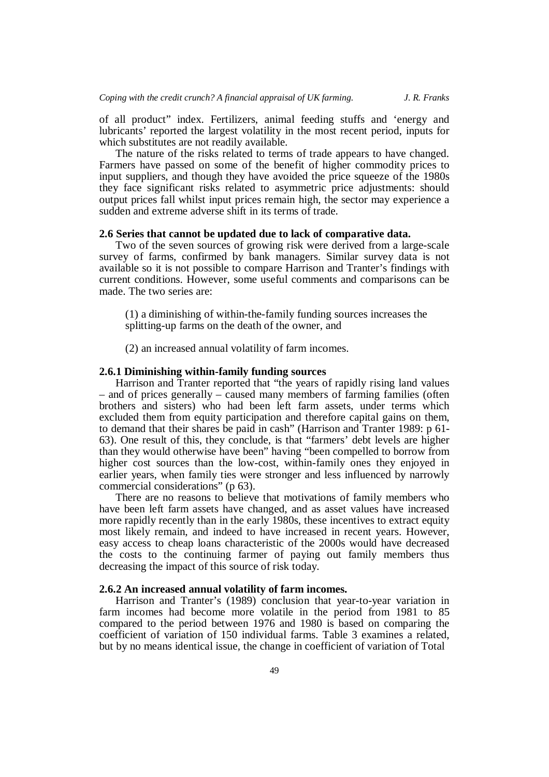of all product" index. Fertilizers, animal feeding stuffs and 'energy and lubricants' reported the largest volatility in the most recent period, inputs for which substitutes are not readily available.

The nature of the risks related to terms of trade appears to have changed. Farmers have passed on some of the benefit of higher commodity prices to input suppliers, and though they have avoided the price squeeze of the 1980s they face significant risks related to asymmetric price adjustments: should output prices fall whilst input prices remain high, the sector may experience a sudden and extreme adverse shift in its terms of trade.

### **2.6 Series that cannot be updated due to lack of comparative data.**

Two of the seven sources of growing risk were derived from a large-scale survey of farms, confirmed by bank managers. Similar survey data is not available so it is not possible to compare Harrison and Tranter's findings with current conditions. However, some useful comments and comparisons can be made. The two series are:

(1) a diminishing of within-the-family funding sources increases the splitting-up farms on the death of the owner, and

(2) an increased annual volatility of farm incomes.

## **2.6.1 Diminishing within-family funding sources**

Harrison and Tranter reported that "the years of rapidly rising land values – and of prices generally – caused many members of farming families (often brothers and sisters) who had been left farm assets, under terms which excluded them from equity participation and therefore capital gains on them, to demand that their shares be paid in cash" (Harrison and Tranter 1989: p 61- 63). One result of this, they conclude, is that "farmers' debt levels are higher than they would otherwise have been" having "been compelled to borrow from higher cost sources than the low-cost, within-family ones they enjoyed in earlier years, when family ties were stronger and less influenced by narrowly commercial considerations" (p 63).

There are no reasons to believe that motivations of family members who have been left farm assets have changed, and as asset values have increased more rapidly recently than in the early 1980s, these incentives to extract equity most likely remain, and indeed to have increased in recent years. However, easy access to cheap loans characteristic of the 2000s would have decreased the costs to the continuing farmer of paying out family members thus decreasing the impact of this source of risk today.

# **2.6.2 An increased annual volatility of farm incomes.**

Harrison and Tranter's (1989) conclusion that year-to-year variation in farm incomes had become more volatile in the period from 1981 to 85 compared to the period between 1976 and 1980 is based on comparing the coefficient of variation of 150 individual farms. Table 3 examines a related, but by no means identical issue, the change in coefficient of variation of Total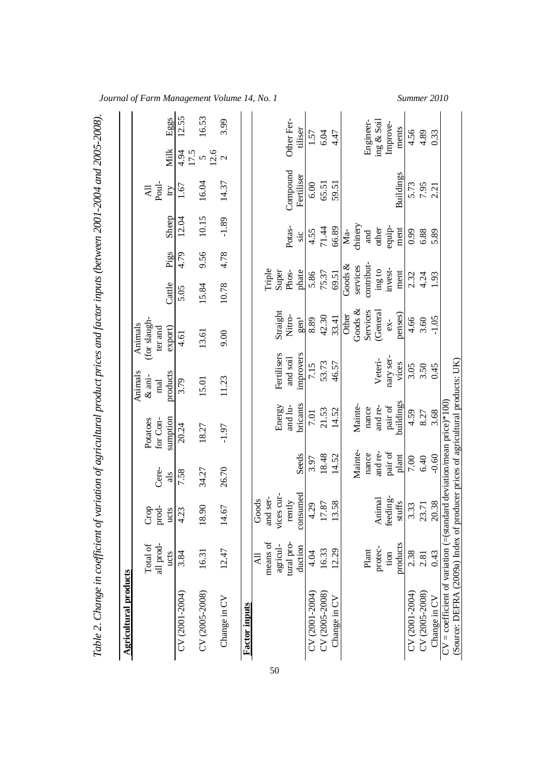| <b>Agricultural products</b>                                                                                                                            |                            |                                           |         |                      |                             |                               |                 |                 |                       |              |       |
|---------------------------------------------------------------------------------------------------------------------------------------------------------|----------------------------|-------------------------------------------|---------|----------------------|-----------------------------|-------------------------------|-----------------|-----------------|-----------------------|--------------|-------|
|                                                                                                                                                         | all prod-<br>Total of      | $_{\mathrm{prod}}$<br>$\mbox{Crop}$       | Cere-   | Potatoes<br>for Con- | Animals<br>$\&$ ani-<br>mal | (for slaugh-<br>Animals       |                 |                 | Poul-<br>Ę            |              |       |
|                                                                                                                                                         | ucts                       | ucts                                      | als     | sumption             | products                    | ter and<br>export)            | Cattle          | Sheep<br>Pigs   | $\overline{\text{H}}$ | Milk         | Eggs  |
| CV (2001-2004)                                                                                                                                          | 3.84                       | $\ddot{23}$<br>4                          | 7.58    | 20.24                | 3.79                        | 4.61                          | 5.05            | 12.04<br>4.79   | 1.67                  | 4.94<br>17.5 | 12.55 |
| CV (2005-2008)                                                                                                                                          | 16.31                      | 18.90                                     | 34.27   | 18.27                | 15.01                       | 13.61                         | 15.84           | 10.15<br>9.56   | 16.04                 |              | 16.53 |
| Change in CV                                                                                                                                            | 12.47                      | 14.67                                     | 26.70   | $-1.97$              | 11.23                       | 9.00                          | 10.78           | $-1.89$<br>4.78 | 14.37                 |              | 3.99  |
| <b>Factor inputs</b>                                                                                                                                    |                            |                                           |         |                      |                             |                               |                 |                 |                       |              |       |
|                                                                                                                                                         | means of<br>agricul-<br>ξŔ | es cur-<br>and ser-<br>Goods<br>$\dot{z}$ |         | Energy               | Fertilisers                 | Straight                      | Triple<br>Super |                 |                       |              |       |
|                                                                                                                                                         | tural pro-                 | rently                                    |         | and lu-              | and soil                    | Nitro-                        | Phos-           | Potas-          | Compound              | Other Fer-   |       |
|                                                                                                                                                         | duction                    | consumed                                  | Seeds   | bricants             | improvers                   | gen <sup>1</sup>              | phate           | sic             | Fertiliser            | tiliser      |       |
| CV (2001-2004)                                                                                                                                          | 4.04                       | 4.29                                      | 3.97    | 7.01                 | 7.15                        | 8.89                          | 5.86            | 4.55            | 6.00                  | 1.57         |       |
| CV (2005-2008)                                                                                                                                          | 16.33                      | 17.87                                     | 18.48   | 21.53                | 53.73                       | 42.30                         | 75.37           | 71.44           | 65.51                 | 6.04         |       |
| $Change$ in $CV$                                                                                                                                        | 12.29                      | 13.58                                     | 14.52   | 14.52                | 46.57                       | 33.41                         | 69.51           | 66.89           | 59.51                 | 4.47         |       |
|                                                                                                                                                         |                            |                                           |         |                      |                             | Other                         | Goods $\&$      | $Ma-$           |                       |              |       |
|                                                                                                                                                         |                            |                                           | Mainte- | Mainte-              |                             | $\overline{\mathrm{Goods}}$ & | services        | chinery         |                       |              |       |
|                                                                                                                                                         | Plant                      |                                           | nance   | nance                |                             | Services                      | contribut-      | and             |                       | Engineer-    |       |
|                                                                                                                                                         | protec-                    | Animal                                    | and re- | and re-              | Veteri-                     | (Genera)                      | $mg\sin$        | other           |                       | ing & Soil   |       |
|                                                                                                                                                         | tion                       | feeding-                                  | pair of | pair of              | nary ser-                   | $ex-$                         | invest-         | equip-          |                       | Improve-     |       |
|                                                                                                                                                         | products                   | stuffs                                    | plant   | buildings            | vices                       | penses)                       | ment            | ment            | Buildings             | ments        |       |
| CV (2001-2004)                                                                                                                                          | 2.38                       | 3.33                                      | 7.00    | 4.59                 | 3.05                        | 4.66                          | 2.32            | 0.99            | 5.73                  | 4.56         |       |
| CV (2005-2008)                                                                                                                                          | 2.81                       | 23.71                                     | 6.40    | 8.27                 | 3.50                        | 3.60                          | 4.24            | 6.88            | 7.95                  | 4.89         |       |
| Change in CV                                                                                                                                            | 0.43                       | 20.38                                     | $-0.60$ | 3.68                 | 0.45                        | $-1.05$                       | 1.93            | 5.89            | 2.21                  | 0.33         |       |
| (Source: DEFRA (2009a) Index of producer prices of agricultural products: UK)<br>$CV = coefficient$ of variation (=(standard deviation/mean price)*100) |                            |                                           |         |                      |                             |                               |                 |                 |                       |              |       |

*Journal of Farm Management Volume 14, No. 1 Summer 2010*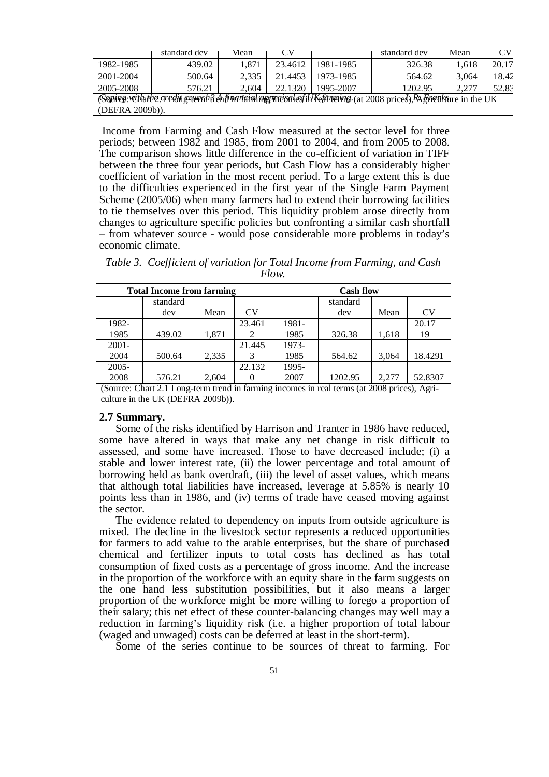|                                                                                                             | standard dev | Mean  | CV      |           | standard dev | Mean  | СV    |  |  |
|-------------------------------------------------------------------------------------------------------------|--------------|-------|---------|-----------|--------------|-------|-------|--|--|
| 1982-1985                                                                                                   | 439.02       | 1.871 | 23.4612 | 1981-1985 | 326.38       | 1,618 | 20.17 |  |  |
| 2001-2004                                                                                                   | 500.64       | 2.335 | 21.4453 | 1973-1985 | 564.62       | 3.064 | 18.42 |  |  |
| 2005-2008                                                                                                   | 576.21       | 2.604 | 22.1320 | 1995-2007 | 1202.95      | 2.277 | 52.83 |  |  |
| (Sonires: vittative greding rumal is enfirming majority of the famouse (at 2008 prices) RA Ements in the UK |              |       |         |           |              |       |       |  |  |
| (DEFRA 2009b)).                                                                                             |              |       |         |           |              |       |       |  |  |

Income from Farming and Cash Flow measured at the sector level for three periods; between 1982 and 1985, from 2001 to 2004, and from 2005 to 2008. The comparison shows little difference in the co-efficient of variation in TIFF between the three four year periods, but Cash Flow has a considerably higher coefficient of variation in the most recent period. To a large extent this is due to the difficulties experienced in the first year of the Single Farm Payment Scheme (2005/06) when many farmers had to extend their borrowing facilities to tie themselves over this period. This liquidity problem arose directly from changes to agriculture specific policies but confronting a similar cash shortfall – from whatever source - would pose considerable more problems in today's economic climate.

*Table 3. Coefficient of variation for Total Income from Farming, and Cash Flow.*

|                                                                                             | <b>Total Income from farming</b>  |       |        | <b>Cash flow</b> |          |       |         |  |  |  |
|---------------------------------------------------------------------------------------------|-----------------------------------|-------|--------|------------------|----------|-------|---------|--|--|--|
|                                                                                             | standard                          |       |        |                  | standard |       |         |  |  |  |
|                                                                                             | dev                               | Mean  | CV     |                  | dev      | Mean  | CV      |  |  |  |
| 1982-                                                                                       |                                   |       | 23.461 | 1981-            |          |       | 20.17   |  |  |  |
| 1985                                                                                        | 439.02                            | 1,871 | 2      | 1985             | 326.38   | 1,618 | 19      |  |  |  |
| $2001 -$                                                                                    |                                   |       | 21.445 | 1973-            |          |       |         |  |  |  |
| 2004                                                                                        | 500.64                            | 2,335 | 3      | 1985             | 564.62   | 3,064 | 18.4291 |  |  |  |
| $2005 -$                                                                                    |                                   |       | 22.132 | 1995-            |          |       |         |  |  |  |
| 2008                                                                                        | 576.21                            | 2.604 |        | 2007             | 1202.95  | 2.277 | 52.8307 |  |  |  |
| (Source: Chart 2.1 Long-term trend in farming incomes in real terms (at 2008 prices), Agri- |                                   |       |        |                  |          |       |         |  |  |  |
|                                                                                             | culture in the UK (DEFRA 2009b)). |       |        |                  |          |       |         |  |  |  |

## **2.7 Summary.**

Some of the risks identified by Harrison and Tranter in 1986 have reduced, some have altered in ways that make any net change in risk difficult to assessed, and some have increased. Those to have decreased include; (i) a stable and lower interest rate, (ii) the lower percentage and total amount of borrowing held as bank overdraft, (iii) the level of asset values, which means that although total liabilities have increased, leverage at 5.85% is nearly 10 points less than in 1986, and (iv) terms of trade have ceased moving against the sector.

The evidence related to dependency on inputs from outside agriculture is mixed. The decline in the livestock sector represents a reduced opportunities for farmers to add value to the arable enterprises, but the share of purchased chemical and fertilizer inputs to total costs has declined as has total consumption of fixed costs as a percentage of gross income. And the increase in the proportion of the workforce with an equity share in the farm suggests on the one hand less substitution possibilities, but it also means a larger proportion of the workforce might be more willing to forego a proportion of their salary; this net effect of these counter-balancing changes may well may a reduction in farming's liquidity risk (i.e. a higher proportion of total labour (waged and unwaged) costs can be deferred at least in the short-term).

Some of the series continue to be sources of threat to farming. For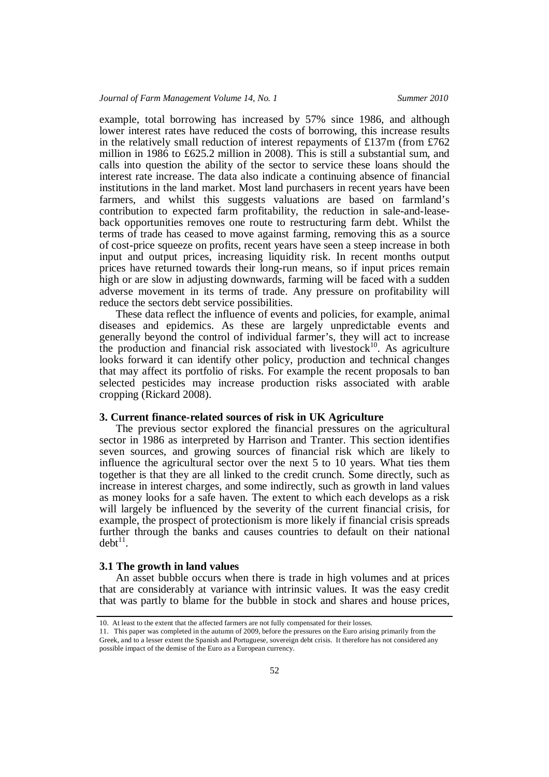example, total borrowing has increased by 57% since 1986, and although lower interest rates have reduced the costs of borrowing, this increase results in the relatively small reduction of interest repayments of £137m (from £762) million in 1986 to £625.2 million in 2008). This is still a substantial sum, and calls into question the ability of the sector to service these loans should the interest rate increase. The data also indicate a continuing absence of financial institutions in the land market. Most land purchasers in recent years have been farmers, and whilst this suggests valuations are based on farmland's contribution to expected farm profitability, the reduction in sale-and-leaseback opportunities removes one route to restructuring farm debt. Whilst the terms of trade has ceased to move against farming, removing this as a source of cost-price squeeze on profits, recent years have seen a steep increase in both input and output prices, increasing liquidity risk. In recent months output prices have returned towards their long-run means, so if input prices remain high or are slow in adjusting downwards, farming will be faced with a sudden adverse movement in its terms of trade. Any pressure on profitability will reduce the sectors debt service possibilities.

These data reflect the influence of events and policies, for example, animal diseases and epidemics. As these are largely unpredictable events and generally beyond the control of individual farmer's, they will act to increase the production and financial risk associated with livestock<sup>10</sup>. As agriculture looks forward it can identify other policy, production and technical changes that may affect its portfolio of risks. For example the recent proposals to ban selected pesticides may increase production risks associated with arable cropping (Rickard 2008).

# **3. Current finance-related sources of risk in UK Agriculture**

The previous sector explored the financial pressures on the agricultural sector in 1986 as interpreted by Harrison and Tranter. This section identifies seven sources, and growing sources of financial risk which are likely to influence the agricultural sector over the next 5 to 10 years. What ties them together is that they are all linked to the credit crunch. Some directly, such as increase in interest charges, and some indirectly, such as growth in land values as money looks for a safe haven. The extent to which each develops as a risk will largely be influenced by the severity of the current financial crisis, for example, the prospect of protectionism is more likely if financial crisis spreads further through the banks and causes countries to default on their national  $debt^{11}$ .

## **3.1 The growth in land values**

An asset bubble occurs when there is trade in high volumes and at prices that are considerably at variance with intrinsic values. It was the easy credit that was partly to blame for the bubble in stock and shares and house prices,

<sup>10.</sup> At least to the extent that the affected farmers are not fully compensated for their losses.

<sup>11.</sup> This paper was completed in the autumn of 2009, before the pressures on the Euro arising primarily from the Greek, and to a lesser extent the Spanish and Portuguese, sovereign debt crisis. It therefore has not considered any possible impact of the demise of the Euro as a European currency.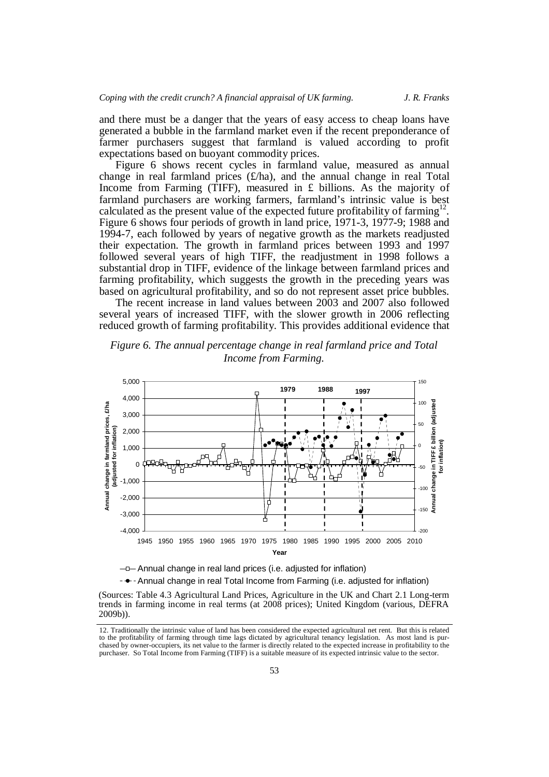and there must be a danger that the years of easy access to cheap loans have generated a bubble in the farmland market even if the recent preponderance of farmer purchasers suggest that farmland is valued according to profit expectations based on buoyant commodity prices.

Figure 6 shows recent cycles in farmland value, measured as annual change in real farmland prices  $(f/ha)$ , and the annual change in real Total Income from Farming (TIFF), measured in  $E$  billions. As the majority of farmland purchasers are working farmers, farmland's intrinsic value is best calculated as the present value of the expected future profitability of farming<sup>1</sup> Figure 6 shows four periods of growth in land price, 1971-3, 1977-9; 1988 and 1994-7, each followed by years of negative growth as the markets readjusted their expectation. The growth in farmland prices between 1993 and 1997 followed several years of high TIFF, the readjustment in 1998 follows a substantial drop in TIFF, evidence of the linkage between farmland prices and farming profitability, which suggests the growth in the preceding years was based on agricultural profitability, and so do not represent asset price bubbles.

The recent increase in land values between 2003 and 2007 also followed several years of increased TIFF, with the slower growth in 2006 reflecting reduced growth of farming profitability. This provides additional evidence that



*Figure 6. The annual percentage change in real farmland price and Total Income from Farming.*

 $-\Box$  Annual change in real land prices (i.e. adjusted for inflation)

-  $\rightarrow$  - Annual change in real Total Income from Farming (i.e. adjusted for inflation)

(Sources: Table 4.3 Agricultural Land Prices, Agriculture in the UK and Chart 2.1 Long-term trends in farming income in real terms (at 2008 prices); United Kingdom (various, DEFRA 2009b)).

<sup>12.</sup> Traditionally the intrinsic value of land has been considered the expected agricultural net rent. But this is related to the profitability of farming through time lags dictated by agricultural tenancy legislation. As most land is purchased by owner-occupiers, its net value to the farmer is directly related to the expected increase in profitability to the purchaser. So Total Income from Farming (TIFF) is a suitable measure of its expected intrinsic value to the sector.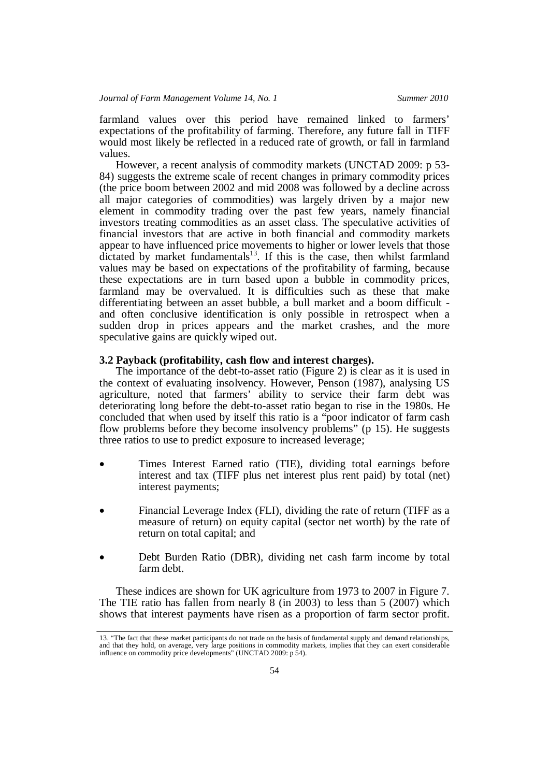farmland values over this period have remained linked to farmers' expectations of the profitability of farming. Therefore, any future fall in TIFF would most likely be reflected in a reduced rate of growth, or fall in farmland values.

However, a recent analysis of commodity markets (UNCTAD 2009: p 53- 84) suggests the extreme scale of recent changes in primary commodity prices (the price boom between 2002 and mid 2008 was followed by a decline across all major categories of commodities) was largely driven by a major new element in commodity trading over the past few years, namely financial investors treating commodities as an asset class. The speculative activities of financial investors that are active in both financial and commodity markets appear to have influenced price movements to higher or lower levels that those dictated by market fundamentals<sup>13</sup>. If this is the case, then whilst farmland values may be based on expectations of the profitability of farming, because these expectations are in turn based upon a bubble in commodity prices, farmland may be overvalued. It is difficulties such as these that make differentiating between an asset bubble, a bull market and a boom difficult and often conclusive identification is only possible in retrospect when a sudden drop in prices appears and the market crashes, and the more speculative gains are quickly wiped out.

# **3.2 Payback (profitability, cash flow and interest charges).**

The importance of the debt-to-asset ratio (Figure 2) is clear as it is used in the context of evaluating insolvency. However, Penson (1987), analysing US agriculture, noted that farmers' ability to service their farm debt was deteriorating long before the debt-to-asset ratio began to rise in the 1980s. He concluded that when used by itself this ratio is a "poor indicator of farm cash flow problems before they become insolvency problems" (p 15). He suggests three ratios to use to predict exposure to increased leverage;

- Times Interest Earned ratio (TIE), dividing total earnings before interest and tax (TIFF plus net interest plus rent paid) by total (net) interest payments;
- Financial Leverage Index (FLI), dividing the rate of return (TIFF as a measure of return) on equity capital (sector net worth) by the rate of return on total capital; and
- Debt Burden Ratio (DBR), dividing net cash farm income by total farm debt.

These indices are shown for UK agriculture from 1973 to 2007 in Figure 7. The TIE ratio has fallen from nearly 8 (in 2003) to less than 5 (2007) which shows that interest payments have risen as a proportion of farm sector profit.

<sup>13.</sup> "The fact that these market participants do not trade on the basis of fundamental supply and demand relationships, and that they hold, on average, very large positions in commodity markets, implies that they can exert considerable influence on commodity price developments" (UNCTAD 2009: p 54).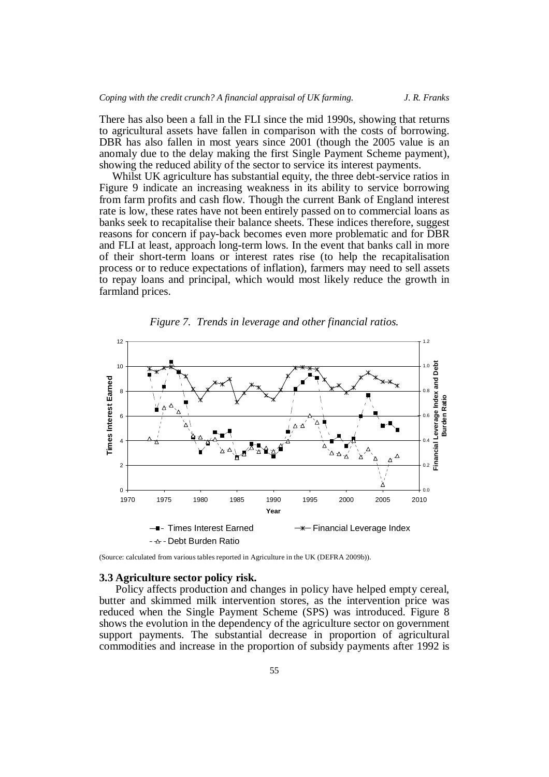There has also been a fall in the FLI since the mid 1990s, showing that returns to agricultural assets have fallen in comparison with the costs of borrowing. DBR has also fallen in most years since 2001 (though the 2005 value is an anomaly due to the delay making the first Single Payment Scheme payment), showing the reduced ability of the sector to service its interest payments.

Whilst UK agriculture has substantial equity, the three debt-service ratios in Figure 9 indicate an increasing weakness in its ability to service borrowing from farm profits and cash flow. Though the current Bank of England interest rate is low, these rates have not been entirely passed on to commercial loans as banks seek to recapitalise their balance sheets. These indices therefore, suggest reasons for concern if pay-back becomes even more problematic and for DBR and FLI at least, approach long-term lows. In the event that banks call in more of their short-term loans or interest rates rise (to help the recapitalisation process or to reduce expectations of inflation), farmers may need to sell assets to repay loans and principal, which would most likely reduce the growth in farmland prices.



*Figure 7. Trends in leverage and other financial ratios.*

(Source: calculated from various tables reported in Agriculture in the UK (DEFRA 2009b)).

 $-\Delta$  - Debt Burden Ratio

**3.3 Agriculture sector policy risk.** Policy affects production and changes in policy have helped empty cereal, butter and skimmed milk intervention stores, as the intervention price was reduced when the Single Payment Scheme (SPS) was introduced. Figure 8 shows the evolution in the dependency of the agriculture sector on government support payments. The substantial decrease in proportion of agricultural commodities and increase in the proportion of subsidy payments after 1992 is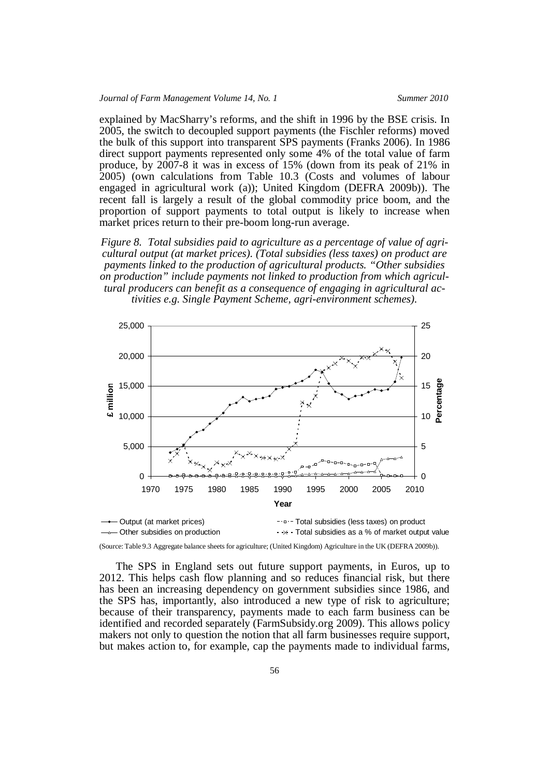explained by MacSharry's reforms, and the shift in 1996 by the BSE crisis. In 2005, the switch to decoupled support payments (the Fischler reforms) moved the bulk of this support into transparent SPS payments (Franks 2006). In 1986 direct support payments represented only some 4% of the total value of farm produce, by 2007-8 it was in excess of 15% (down from its peak of 21% in 2005) (own calculations from Table 10.3 (Costs and volumes of labour engaged in agricultural work (a)); United Kingdom (DEFRA 2009b)). The recent fall is largely a result of the global commodity price boom, and the proportion of support payments to total output is likely to increase when market prices return to their pre-boom long-run average.

*Figure 8. Total subsidies paid to agriculture as a percentage of value of agricultural output (at market prices). (Total subsidies (less taxes) on product are payments linked to the production of agricultural products. "Other subsidies on production" include payments not linked to production from which agricultural producers can benefit as a consequence of engaging in agricultural activities e.g. Single Payment Scheme, agri-environment schemes).*



(Source: Table 9.3 Aggregate balance sheets for agriculture; (United Kingdom) Agriculture in the UK (DEFRA 2009b)).

The SPS in England sets out future support payments, in Euros, up to 2012. This helps cash flow planning and so reduces financial risk, but there has been an increasing dependency on government subsidies since 1986, and the SPS has, importantly, also introduced a new type of risk to agriculture; because of their transparency, payments made to each farm business can be identified and recorded separately (FarmSubsidy.org 2009). This allows policy makers not only to question the notion that all farm businesses require support, but makes action to, for example, cap the payments made to individual farms,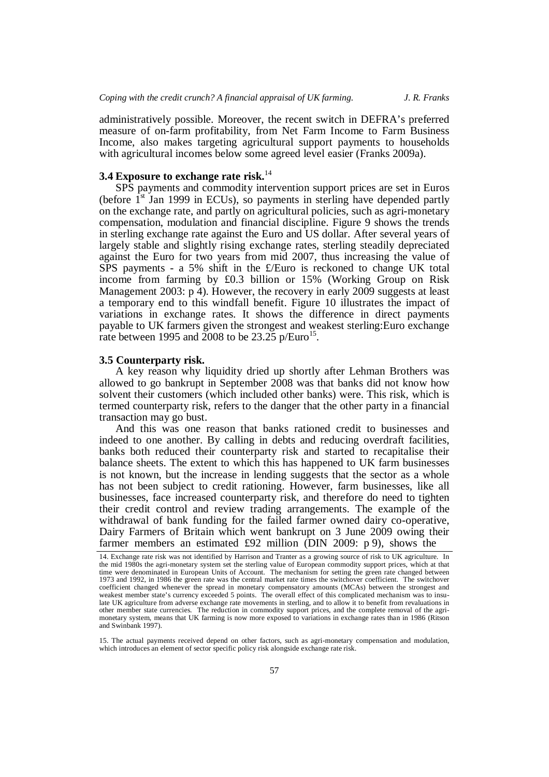administratively possible. Moreover, the recent switch in DEFRA's preferred measure of on-farm profitability, from Net Farm Income to Farm Business Income, also makes targeting agricultural support payments to households with agricultural incomes below some agreed level easier (Franks 2009a).

# **3.4 Exposure to exchange rate risk.** 14

SPS payments and commodity intervention support prices are set in Euros (before  $1<sup>st</sup>$  Jan 1999 in ECUs), so payments in sterling have depended partly on the exchange rate, and partly on agricultural policies, such as agri-monetary compensation, modulation and financial discipline. Figure 9 shows the trends in sterling exchange rate against the Euro and US dollar. After several years of largely stable and slightly rising exchange rates, sterling steadily depreciated against the Euro for two years from mid 2007, thus increasing the value of SPS payments - a 5% shift in the £/Euro is reckoned to change UK total income from farming by £0.3 billion or 15% (Working Group on Risk Management 2003: p 4). However, the recovery in early 2009 suggests at least a temporary end to this windfall benefit. Figure 10 illustrates the impact of variations in exchange rates. It shows the difference in direct payments payable to UK farmers given the strongest and weakest sterling:Euro exchange rate between 1995 and 2008 to be  $23.25$  p/Euro<sup>15</sup>.

#### **3.5 Counterparty risk.**

A key reason why liquidity dried up shortly after Lehman Brothers was allowed to go bankrupt in September 2008 was that banks did not know how solvent their customers (which included other banks) were. This risk, which is termed counterparty risk, refers to the danger that the other party in a financial transaction may go bust.

And this was one reason that banks rationed credit to businesses and indeed to one another. By calling in debts and reducing overdraft facilities, banks both reduced their counterparty risk and started to recapitalise their balance sheets. The extent to which this has happened to UK farm businesses is not known, but the increase in lending suggests that the sector as a whole has not been subject to credit rationing. However, farm businesses, like all businesses, face increased counterparty risk, and therefore do need to tighten their credit control and review trading arrangements. The example of the withdrawal of bank funding for the failed farmer owned dairy co-operative, Dairy Farmers of Britain which went bankrupt on 3 June 2009 owing their farmer members an estimated £92 million (DIN 2009: p 9), shows the

15. The actual payments received depend on other factors, such as agri-monetary compensation and modulation, which introduces an element of sector specific policy risk alongside exchange rate risk.

<sup>14.</sup> Exchange rate risk was not identified by Harrison and Tranter as a growing source of risk to UK agriculture. In the mid 1980s the agri-monetary system set the sterling value of European commodity support prices, which at that time were denominated in European Units of Account. The mechanism for setting the green rate changed between 1973 and 1992, in 1986 the green rate was the central market rate times the switchover coefficient. The switchover coefficient changed whenever the spread in monetary compensatory amounts (MCAs) between the strongest and weakest member state's currency exceeded 5 points. The overall effect of this complicated mechanism was to insulate UK agriculture from adverse exchange rate movements in sterling, and to allow it to benefit from revaluations in other member state currencies. The reduction in commodity support prices, and the complete removal of the agrimonetary system, means that UK farming is now more exposed to variations in exchange rates than in 1986 (Ritson and Swinbank 1997).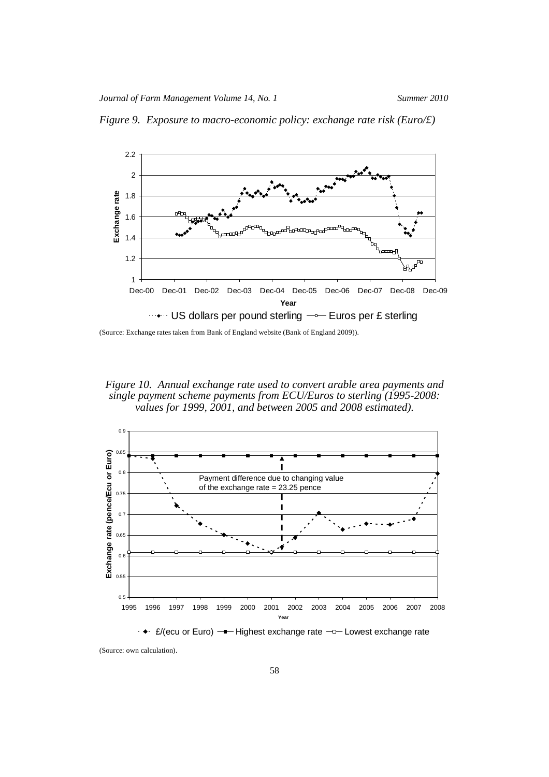

*Figure 9. Exposure to macro-economic policy: exchange rate risk (Euro/£)*

(Source: Exchange rates taken from Bank of England website (Bank of England 2009)).

*Figure 10. Annual exchange rate used to convert arable area payments and single payment scheme payments from ECU/Euros to sterling (1995-2008: values for 1999, 2001, and between 2005 and 2008 estimated).*



 $\div$   $\div$  £/(ecu or Euro) —— Highest exchange rate  $\neg$  Lowest exchange rate

(Source: own calculation).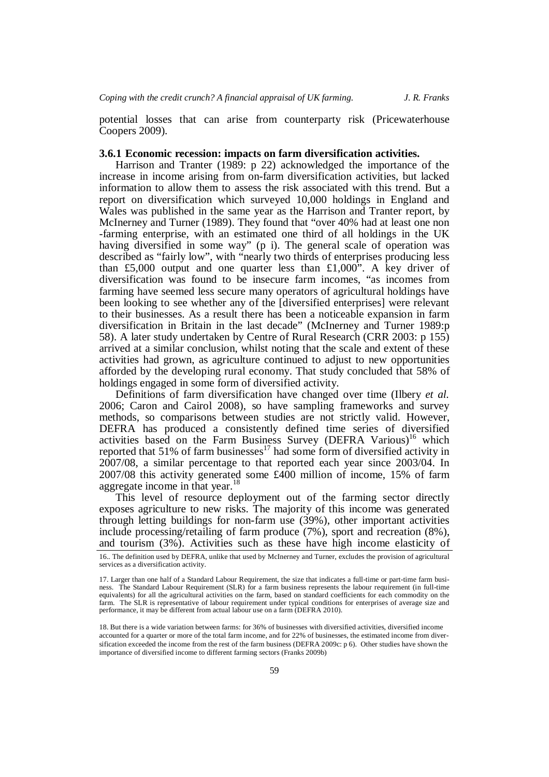potential losses that can arise from counterparty risk (Pricewaterhouse Coopers 2009).

#### **3.6.1 Economic recession: impacts on farm diversification activities.**

Harrison and Tranter (1989: p 22) acknowledged the importance of the increase in income arising from on-farm diversification activities, but lacked information to allow them to assess the risk associated with this trend. But a report on diversification which surveyed 10,000 holdings in England and Wales was published in the same year as the Harrison and Tranter report, by McInerney and Turner (1989). They found that "over 40% had at least one non -farming enterprise, with an estimated one third of all holdings in the UK having diversified in some way" (p i). The general scale of operation was described as "fairly low", with "nearly two thirds of enterprises producing less than £5,000 output and one quarter less than £1,000". A key driver of diversification was found to be insecure farm incomes, "as incomes from farming have seemed less secure many operators of agricultural holdings have been looking to see whether any of the [diversified enterprises] were relevant to their businesses. As a result there has been a noticeable expansion in farm diversification in Britain in the last decade" (McInerney and Turner 1989:p 58). A later study undertaken by Centre of Rural Research (CRR 2003: p 155) arrived at a similar conclusion, whilst noting that the scale and extent of these activities had grown, as agriculture continued to adjust to new opportunities afforded by the developing rural economy. That study concluded that 58% of holdings engaged in some form of diversified activity.

Definitions of farm diversification have changed over time (Ilbery *et al.* 2006; Caron and Cairol 2008), so have sampling frameworks and survey methods, so comparisons between studies are not strictly valid. However, DEFRA has produced a consistently defined time series of diversified activities based on the Farm Business Survey (DEFRA Various)<sup>16</sup> which reported that 51% of farm businesses<sup>17</sup> had some form of diversified activity in  $2007/08$ , a similar percentage to that reported each year since  $2003/04$ . In 2007/08 this activity generated some £400 million of income, 15% of farm aggregate income in that year.<sup>18</sup>

This level of resource deployment out of the farming sector directly exposes agriculture to new risks. The majority of this income was generated through letting buildings for non-farm use (39%), other important activities include processing/retailing of farm produce (7%), sport and recreation (8%), and tourism (3%). Activities such as these have high income elasticity of

<sup>16..</sup> The definition used by DEFRA, unlike that used by McInerney and Turner, excludes the provision of agricultural services as a diversification activity.

<sup>17.</sup> Larger than one half of a Standard Labour Requirement, the size that indicates a full-time or part-time farm business. The Standard Labour Requirement (SLR) for a farm business represents the labour requirement (in full-time equivalents) for all the agricultural activities on the farm, based on standard coefficients for each commodity on the farm. The SLR is representative of labour requirement under typical conditions for enterprises of average size and performance, it may be different from actual labour use on a farm (DEFRA 2010).

<sup>18.</sup> But there is a wide variation between farms: for 36% of businesses with diversified activities, diversified income accounted for a quarter or more of the total farm income, and for 22% of businesses, the estimated income from diversification exceeded the income from the rest of the farm business (DEFRA 2009c: p 6). Other studies have shown the importance of diversified income to different farming sectors (Franks 2009b)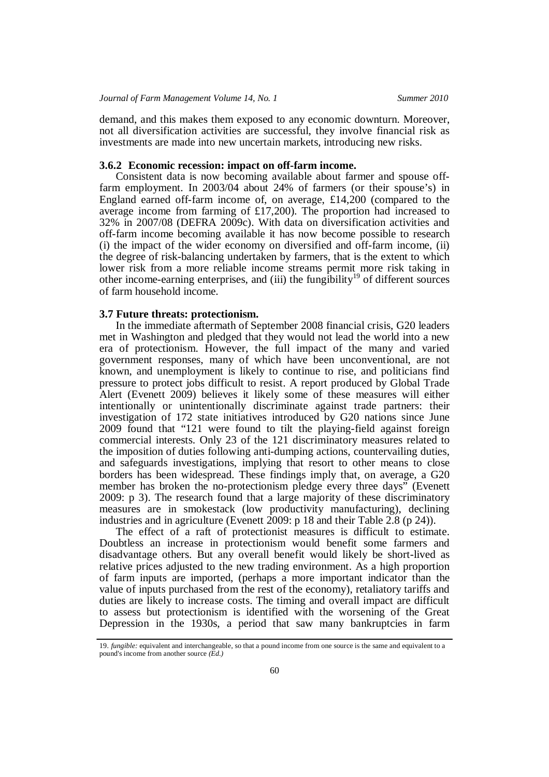demand, and this makes them exposed to any economic downturn. Moreover, not all diversification activities are successful, they involve financial risk as investments are made into new uncertain markets, introducing new risks.

**3.6.2 Economic recession: impact on off-farm income.** Consistent data is now becoming available about farmer and spouse offfarm employment. In 2003/04 about 24% of farmers (or their spouse's) in England earned off-farm income of, on average, £14,200 (compared to the average income from farming of £17,200). The proportion had increased to 32% in 2007/08 (DEFRA 2009c). With data on diversification activities and off-farm income becoming available it has now become possible to research (i) the impact of the wider economy on diversified and off-farm income, (ii) the degree of risk-balancing undertaken by farmers, that is the extent to which lower risk from a more reliable income streams permit more risk taking in other income-earning enterprises, and (iii) the fungibility<sup>19</sup> of different sources of farm household income.

### **3.7 Future threats: protectionism.**

In the immediate aftermath of September 2008 financial crisis, G20 leaders met in Washington and pledged that they would not lead the world into a new era of protectionism. However, the full impact of the many and varied government responses, many of which have been unconventional, are not known, and unemployment is likely to continue to rise, and politicians find pressure to protect jobs difficult to resist. A report produced by Global Trade Alert (Evenett 2009) believes it likely some of these measures will either intentionally or unintentionally discriminate against trade partners: their investigation of 172 state initiatives introduced by G20 nations since June 2009 found that "121 were found to tilt the playing-field against foreign commercial interests. Only 23 of the 121 discriminatory measures related to the imposition of duties following anti-dumping actions, countervailing duties, and safeguards investigations, implying that resort to other means to close borders has been widespread. These findings imply that, on average, a G20 member has broken the no-protectionism pledge every three days" (Evenett 2009: p 3). The research found that a large majority of these discriminatory measures are in smokestack (low productivity manufacturing), declining industries and in agriculture (Evenett 2009: p 18 and their Table 2.8 (p 24)).

The effect of a raft of protectionist measures is difficult to estimate. Doubtless an increase in protectionism would benefit some farmers and disadvantage others. But any overall benefit would likely be short-lived as relative prices adjusted to the new trading environment. As a high proportion of farm inputs are imported, (perhaps a more important indicator than the value of inputs purchased from the rest of the economy), retaliatory tariffs and duties are likely to increase costs. The timing and overall impact are difficult to assess but protectionism is identified with the worsening of the Great Depression in the 1930s, a period that saw many bankruptcies in farm

<sup>19.</sup> *fungible:* equivalent and interchangeable, so that a pound income from one source is the same and equivalent to a pound's income from another source *(Ed.)*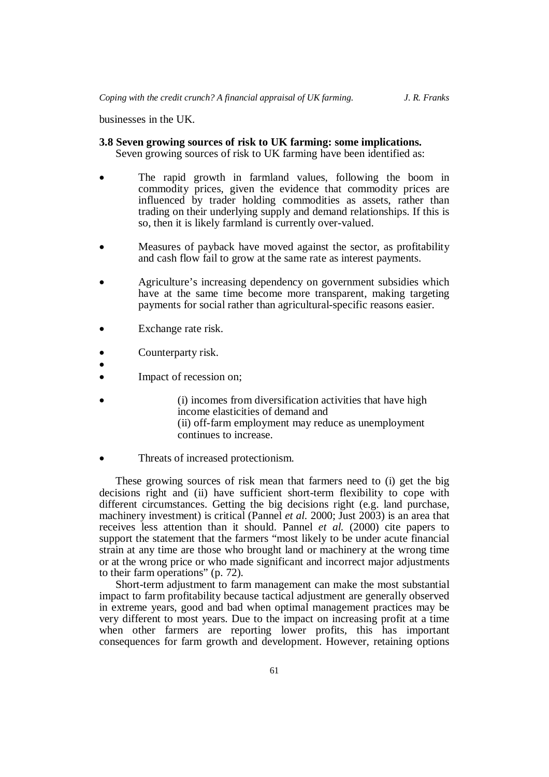businesses in the UK.

# **3.8 Seven growing sources of risk to UK farming: some implications.**

Seven growing sources of risk to UK farming have been identified as:

- The rapid growth in farmland values, following the boom in commodity prices, given the evidence that commodity prices are influenced by trader holding commodities as assets, rather than trading on their underlying supply and demand relationships. If this is so, then it is likely farmland is currently over-valued.
- Measures of payback have moved against the sector, as profitability and cash flow fail to grow at the same rate as interest payments.
- Agriculture's increasing dependency on government subsidies which have at the same time become more transparent, making targeting payments for social rather than agricultural-specific reasons easier.
- Exchange rate risk.
- Counterparty risk.
- $\bullet$
- Impact of recession on;
- (i) incomes from diversification activities that have high income elasticities of demand and (ii) off-farm employment may reduce as unemployment continues to increase.
- Threats of increased protectionism.

These growing sources of risk mean that farmers need to (i) get the big decisions right and (ii) have sufficient short-term flexibility to cope with different circumstances. Getting the big decisions right (e.g. land purchase, machinery investment) is critical (Pannel *et al.* 2000; Just 2003) is an area that receives less attention than it should. Pannel *et al.* (2000) cite papers to support the statement that the farmers "most likely to be under acute financial strain at any time are those who brought land or machinery at the wrong time or at the wrong price or who made significant and incorrect major adjustments to their farm operations" (p. 72).

Short-term adjustment to farm management can make the most substantial impact to farm profitability because tactical adjustment are generally observed in extreme years, good and bad when optimal management practices may be very different to most years. Due to the impact on increasing profit at a time when other farmers are reporting lower profits, this has important consequences for farm growth and development. However, retaining options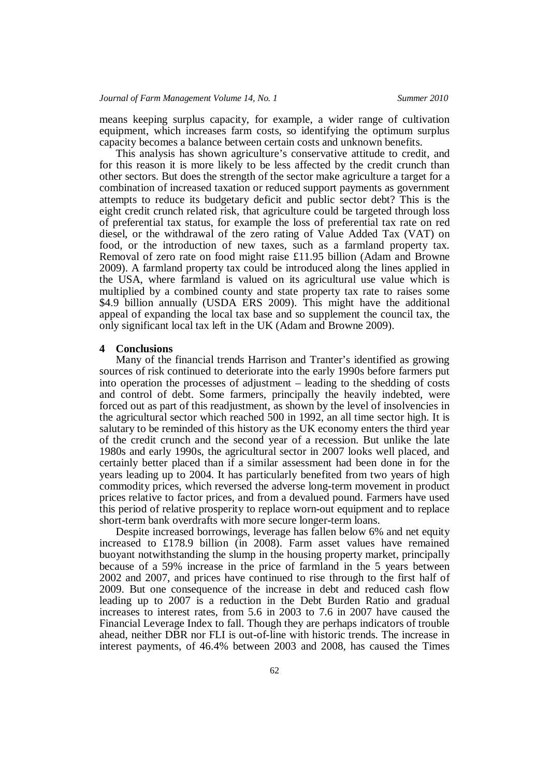means keeping surplus capacity, for example, a wider range of cultivation equipment, which increases farm costs, so identifying the optimum surplus capacity becomes a balance between certain costs and unknown benefits.

This analysis has shown agriculture's conservative attitude to credit, and for this reason it is more likely to be less affected by the credit crunch than other sectors. But does the strength of the sector make agriculture a target for a combination of increased taxation or reduced support payments as government attempts to reduce its budgetary deficit and public sector debt? This is the eight credit crunch related risk, that agriculture could be targeted through loss of preferential tax status, for example the loss of preferential tax rate on red diesel, or the withdrawal of the zero rating of Value Added Tax (VAT) on food, or the introduction of new taxes, such as a farmland property tax. Removal of zero rate on food might raise £11.95 billion (Adam and Browne 2009). A farmland property tax could be introduced along the lines applied in the USA, where farmland is valued on its agricultural use value which is multiplied by a combined county and state property tax rate to raises some \$4.9 billion annually (USDA ERS 2009). This might have the additional appeal of expanding the local tax base and so supplement the council tax, the only significant local tax left in the UK (Adam and Browne 2009).

#### **4 Conclusions**

Many of the financial trends Harrison and Tranter's identified as growing sources of risk continued to deteriorate into the early 1990s before farmers put into operation the processes of adjustment – leading to the shedding of costs and control of debt. Some farmers, principally the heavily indebted, were forced out as part of this readjustment, as shown by the level of insolvencies in the agricultural sector which reached 500 in 1992, an all time sector high. It is salutary to be reminded of this history as the UK economy enters the third year of the credit crunch and the second year of a recession. But unlike the late 1980s and early 1990s, the agricultural sector in 2007 looks well placed, and certainly better placed than if a similar assessment had been done in for the years leading up to 2004. It has particularly benefited from two years of high commodity prices, which reversed the adverse long-term movement in product prices relative to factor prices, and from a devalued pound. Farmers have used this period of relative prosperity to replace worn-out equipment and to replace short-term bank overdrafts with more secure longer-term loans.

Despite increased borrowings, leverage has fallen below 6% and net equity increased to £178.9 billion (in 2008). Farm asset values have remained buoyant notwithstanding the slump in the housing property market, principally because of a 59% increase in the price of farmland in the 5 years between 2002 and 2007, and prices have continued to rise through to the first half of 2009. But one consequence of the increase in debt and reduced cash flow leading up to 2007 is a reduction in the Debt Burden Ratio and gradual increases to interest rates, from 5.6 in 2003 to 7.6 in 2007 have caused the Financial Leverage Index to fall. Though they are perhaps indicators of trouble ahead, neither DBR nor FLI is out-of-line with historic trends. The increase in interest payments, of 46.4% between 2003 and 2008, has caused the Times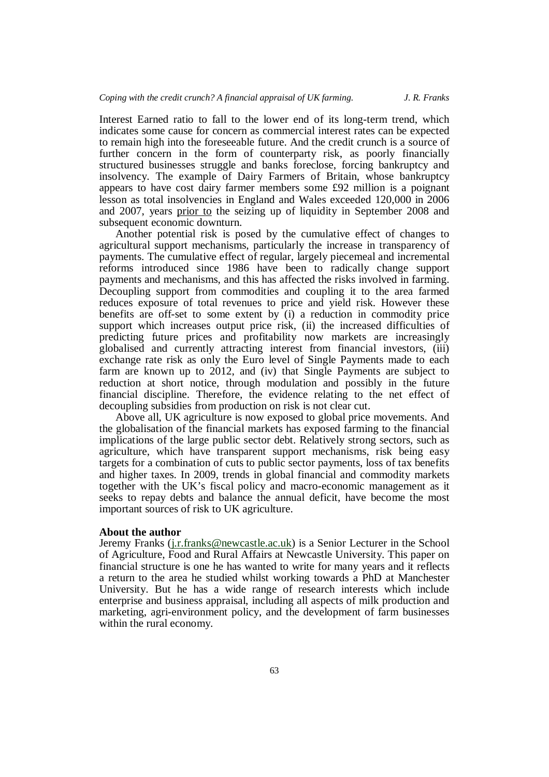Interest Earned ratio to fall to the lower end of its long-term trend, which indicates some cause for concern as commercial interest rates can be expected to remain high into the foreseeable future. And the credit crunch is a source of further concern in the form of counterparty risk, as poorly financially structured businesses struggle and banks foreclose, forcing bankruptcy and insolvency. The example of Dairy Farmers of Britain, whose bankruptcy appears to have cost dairy farmer members some £92 million is a poignant lesson as total insolvencies in England and Wales exceeded 120,000 in 2006 and 2007, years prior to the seizing up of liquidity in September 2008 and subsequent economic downturn.

Another potential risk is posed by the cumulative effect of changes to agricultural support mechanisms, particularly the increase in transparency of payments. The cumulative effect of regular, largely piecemeal and incremental reforms introduced since 1986 have been to radically change support payments and mechanisms, and this has affected the risks involved in farming. Decoupling support from commodities and coupling it to the area farmed reduces exposure of total revenues to price and yield risk. However these benefits are off-set to some extent by (i) a reduction in commodity price support which increases output price risk, (ii) the increased difficulties of predicting future prices and profitability now markets are increasingly globalised and currently attracting interest from financial investors, (iii) exchange rate risk as only the Euro level of Single Payments made to each farm are known up to 2012, and (iv) that Single Payments are subject to reduction at short notice, through modulation and possibly in the future financial discipline. Therefore, the evidence relating to the net effect of decoupling subsidies from production on risk is not clear cut.

Above all, UK agriculture is now exposed to global price movements. And the globalisation of the financial markets has exposed farming to the financial implications of the large public sector debt. Relatively strong sectors, such as agriculture, which have transparent support mechanisms, risk being easy targets for a combination of cuts to public sector payments, loss of tax benefits and higher taxes. In 2009, trends in global financial and commodity markets together with the UK's fiscal policy and macro-economic management as it seeks to repay debts and balance the annual deficit, have become the most important sources of risk to UK agriculture.

## **About the author**

Jeremy Franks (j.r.franks@newcastle.ac.uk) is a Senior Lecturer in the School of Agriculture, Food and Rural Affairs at Newcastle University. This paper on financial structure is one he has wanted to write for many years and it reflects a return to the area he studied whilst working towards a PhD at Manchester University. But he has a wide range of research interests which include enterprise and business appraisal, including all aspects of milk production and marketing, agri-environment policy, and the development of farm businesses within the rural economy.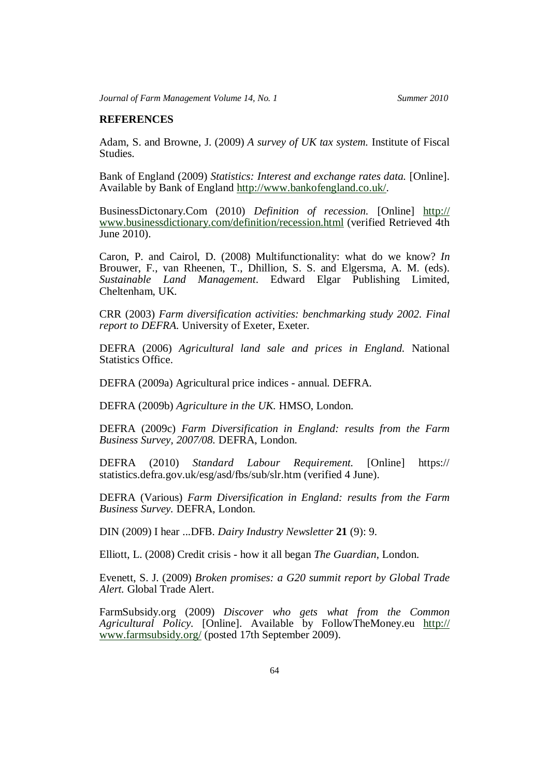# **REFERENCES**

Adam, S. and Browne, J. (2009) *A survey of UK tax system.* Institute of Fiscal Studies.

Bank of England (2009) *Statistics: Interest and exchange rates data.* [Online]. Available by Bank of England http://www.bankofengland.co.uk/.

BusinessDictonary.Com (2010) *Definition of recession.* [Online] http:// www.businessdictionary.com/definition/recession.html (verified Retrieved 4th June 2010).

Caron, P. and Cairol, D. (2008) Multifunctionality: what do we know? *In* Brouwer, F., van Rheenen, T., Dhillion, S. S. and Elgersma, A. M. (eds). *Sustainable Land Management*. Edward Elgar Publishing Limited, Cheltenham, UK.

CRR (2003) *Farm diversification activities: benchmarking study 2002. Final report to DEFRA.* University of Exeter, Exeter.

DEFRA (2006) *Agricultural land sale and prices in England.* National Statistics Office.

DEFRA (2009a) Agricultural price indices - annual. DEFRA.

DEFRA (2009b) *Agriculture in the UK.* HMSO, London.

DEFRA (2009c) *Farm Diversification in England: results from the Farm Business Survey, 2007/08.* DEFRA, London.

DEFRA (2010) *Standard Labour Requirement.* [Online] https:// statistics.defra.gov.uk/esg/asd/fbs/sub/slr.htm (verified 4 June).

DEFRA (Various) *Farm Diversification in England: results from the Farm Business Survey.* DEFRA, London.

DIN (2009) I hear ...DFB. *Dairy Industry Newsletter* **21** (9): 9.

Elliott, L. (2008) Credit crisis - how it all began *The Guardian*, London.

Evenett, S. J. (2009) *Broken promises: a G20 summit report by Global Trade Alert.* Global Trade Alert.

FarmSubsidy.org (2009) *Discover who gets what from the Common Agricultural Policy.* [Online]. Available by FollowTheMoney.eu http:// www.farmsubsidy.org/ (posted 17th September 2009).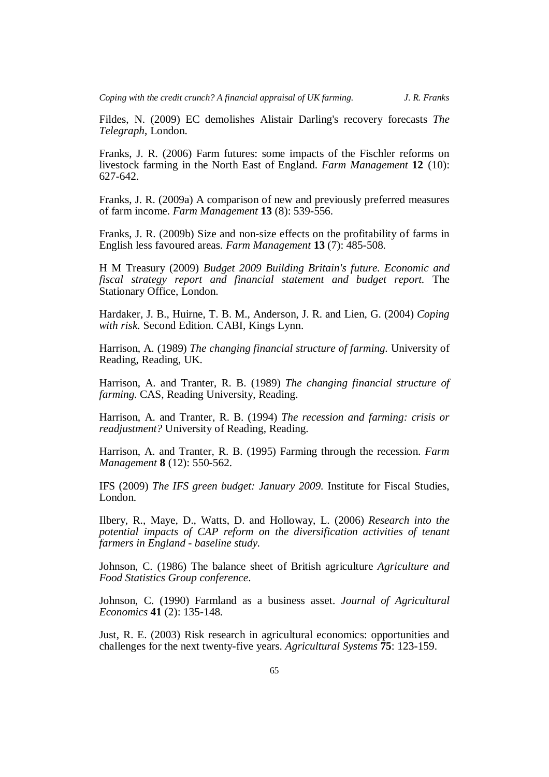Fildes, N. (2009) EC demolishes Alistair Darling's recovery forecasts *The Telegraph*, London.

Franks, J. R. (2006) Farm futures: some impacts of the Fischler reforms on livestock farming in the North East of England. *Farm Management* **12** (10): 627-642.

Franks, J. R. (2009a) A comparison of new and previously preferred measures of farm income. *Farm Management* **13** (8): 539-556.

Franks, J. R. (2009b) Size and non-size effects on the profitability of farms in English less favoured areas. *Farm Management* **13** (7): 485-508.

H M Treasury (2009) *Budget 2009 Building Britain's future. Economic and fiscal strategy report and financial statement and budget report.* The Stationary Office, London.

Hardaker, J. B., Huirne, T. B. M., Anderson, J. R. and Lien, G. (2004) *Coping with risk.* Second Edition. CABI, Kings Lynn.

Harrison, A. (1989) *The changing financial structure of farming.* University of Reading, Reading, UK.

Harrison, A. and Tranter, R. B. (1989) *The changing financial structure of farming.* CAS, Reading University, Reading.

Harrison, A. and Tranter, R. B. (1994) *The recession and farming: crisis or readjustment?* University of Reading, Reading.

Harrison, A. and Tranter, R. B. (1995) Farming through the recession. *Farm Management* **8** (12): 550-562.

IFS (2009) *The IFS green budget: January 2009.* Institute for Fiscal Studies, London.

Ilbery, R., Maye, D., Watts, D. and Holloway, L. (2006) *Research into the potential impacts of CAP reform on the diversification activities of tenant farmers in England - baseline study.*

Johnson, C. (1986) The balance sheet of British agriculture *Agriculture and Food Statistics Group conference*.

Johnson, C. (1990) Farmland as a business asset. *Journal of Agricultural Economics* **41** (2): 135-148.

Just, R. E. (2003) Risk research in agricultural economics: opportunities and challenges for the next twenty-five years. *Agricultural Systems* **75**: 123-159.